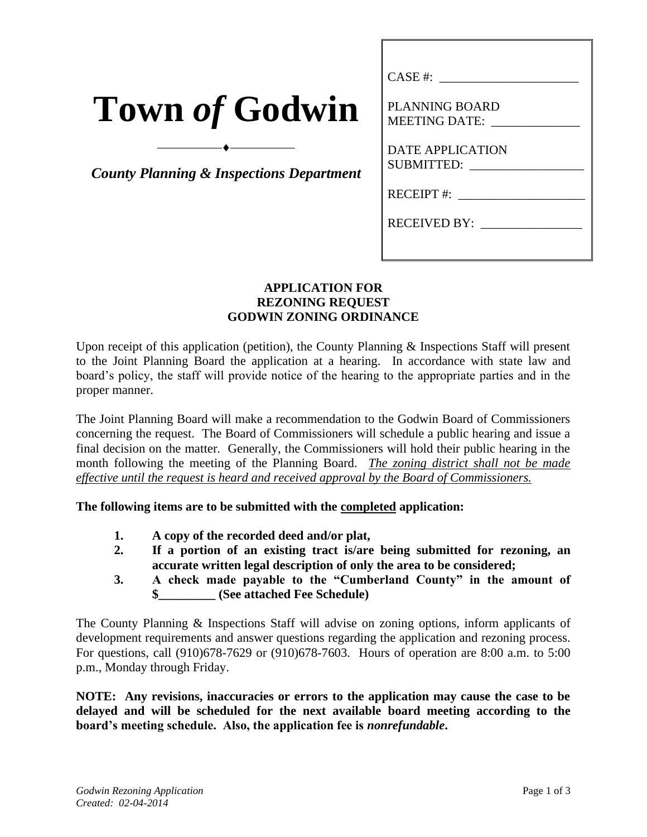| <b>Town of Godwin</b> |  |  |
|-----------------------|--|--|
|                       |  |  |

*County Planning & Inspections Department*

⎯⎯⎯⎯⎯⎯⎯⎯⎯⎯

| CASE #:                                               |
|-------------------------------------------------------|
| PLANNING BOARD                                        |
| MEETING DATE:                                         |
| <b>DATE APPLICATION</b><br>SUBMITTED: _______________ |
| RECEIPT #: ________________                           |
| RECEIVED BY: ________________                         |
|                                                       |

## **APPLICATION FOR REZONING REQUEST GODWIN ZONING ORDINANCE**

Upon receipt of this application (petition), the County Planning & Inspections Staff will present to the Joint Planning Board the application at a hearing. In accordance with state law and board's policy, the staff will provide notice of the hearing to the appropriate parties and in the proper manner.

The Joint Planning Board will make a recommendation to the Godwin Board of Commissioners concerning the request. The Board of Commissioners will schedule a public hearing and issue a final decision on the matter. Generally, the Commissioners will hold their public hearing in the month following the meeting of the Planning Board. *The zoning district shall not be made effective until the request is heard and received approval by the Board of Commissioners.*

**The following items are to be submitted with the completed application:**

- **1. A copy of the recorded deed and/or plat,**
- **2. If a portion of an existing tract is/are being submitted for rezoning, an accurate written legal description of only the area to be considered;**
- **3. A check made payable to the "Cumberland County" in the amount of \$\_\_\_\_\_\_\_\_\_ (See attached Fee Schedule)**

The County Planning & Inspections Staff will advise on zoning options, inform applicants of development requirements and answer questions regarding the application and rezoning process. For questions, call (910)678-7629 or (910)678-7603. Hours of operation are 8:00 a.m. to 5:00 p.m., Monday through Friday.

**NOTE: Any revisions, inaccuracies or errors to the application may cause the case to be delayed and will be scheduled for the next available board meeting according to the board's meeting schedule. Also, the application fee is** *nonrefundable***.**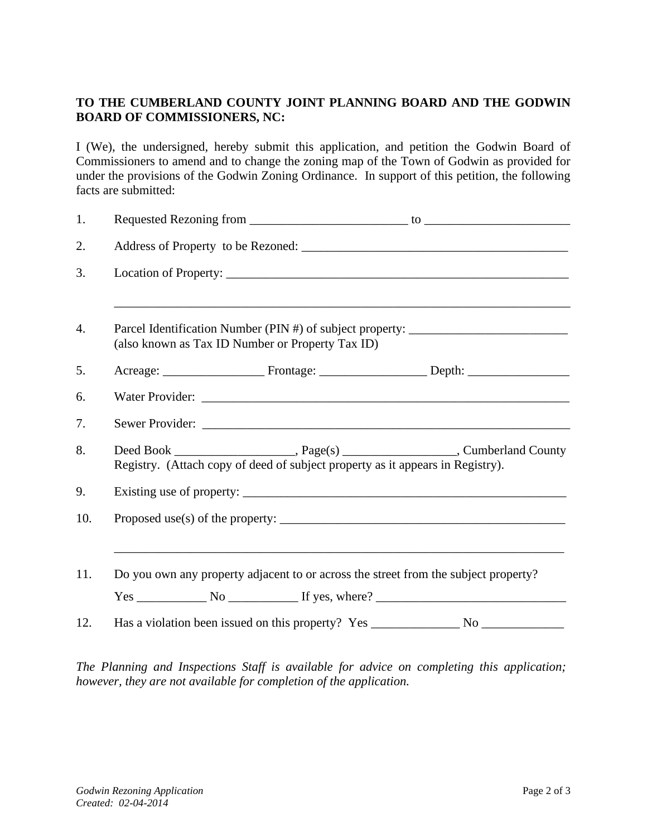## **TO THE CUMBERLAND COUNTY JOINT PLANNING BOARD AND THE GODWIN BOARD OF COMMISSIONERS, NC:**

I (We), the undersigned, hereby submit this application, and petition the Godwin Board of Commissioners to amend and to change the zoning map of the Town of Godwin as provided for under the provisions of the Godwin Zoning Ordinance. In support of this petition, the following facts are submitted:

| 1.  |  |                                                                                                                                                                                                                               |                                                                                  |
|-----|--|-------------------------------------------------------------------------------------------------------------------------------------------------------------------------------------------------------------------------------|----------------------------------------------------------------------------------|
| 2.  |  |                                                                                                                                                                                                                               |                                                                                  |
| 3.  |  |                                                                                                                                                                                                                               |                                                                                  |
| 4.  |  | (also known as Tax ID Number or Property Tax ID)                                                                                                                                                                              | Parcel Identification Number (PIN #) of subject property: ______________________ |
| 5.  |  |                                                                                                                                                                                                                               |                                                                                  |
| 6.  |  | Water Provider: New York 2014 19:00 19:00 19:00 19:00 19:00 19:00 19:00 19:00 19:00 19:00 19:00 19:00 19:00 19:00 19:00 19:00 19:00 19:00 19:00 19:00 19:00 19:00 19:00 19:00 19:00 19:00 19:00 19:00 19:00 19:00 19:00 19:00 |                                                                                  |
| 7.  |  |                                                                                                                                                                                                                               |                                                                                  |
| 8.  |  | Registry. (Attach copy of deed of subject property as it appears in Registry).                                                                                                                                                |                                                                                  |
| 9.  |  |                                                                                                                                                                                                                               |                                                                                  |
| 10. |  |                                                                                                                                                                                                                               |                                                                                  |
| 11. |  | Do you own any property adjacent to or across the street from the subject property?                                                                                                                                           |                                                                                  |
|     |  |                                                                                                                                                                                                                               | $Yes \_$ No $\_$ If yes, where? $\_$                                             |
| 12. |  |                                                                                                                                                                                                                               |                                                                                  |

*The Planning and Inspections Staff is available for advice on completing this application; however, they are not available for completion of the application.*